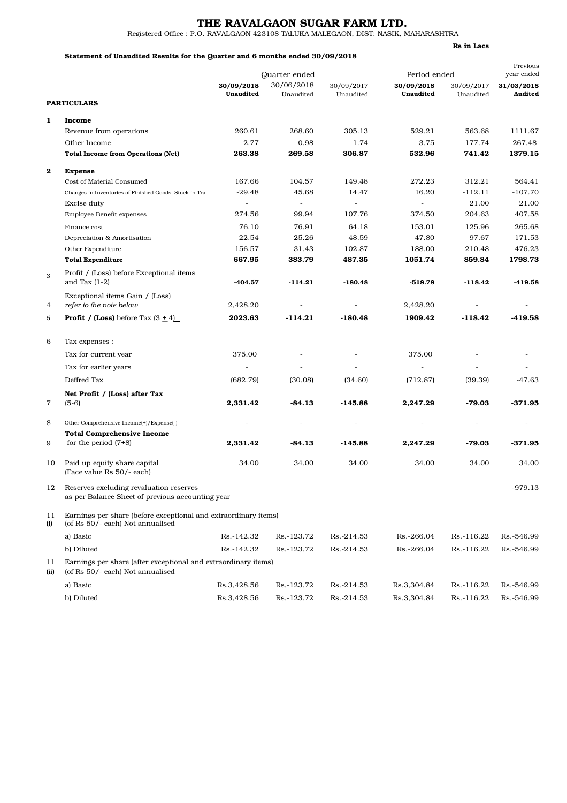## THE RAVALGAON SUGAR FARM LTD.

Registered Office : P.O. RAVALGAON 423108 TALUKA MALEGAON, DIST: NASIK, MAHARASHTRA

### Statement of Unaudited Results for the Quarter and 6 months ended 30/09/2018

Rs in Lacs

|            |                                                                                                     |                          |                             |                          |                            |            | Previous              |
|------------|-----------------------------------------------------------------------------------------------------|--------------------------|-----------------------------|--------------------------|----------------------------|------------|-----------------------|
|            |                                                                                                     | 30/09/2018               | Quarter ended<br>30/06/2018 | 30/09/2017               | Period ended<br>30/09/2018 | 30/09/2017 | year ended            |
|            |                                                                                                     | Unaudited                | Unaudited                   | Unaudited                | Unaudited                  | Unaudited  | 31/03/2018<br>Audited |
|            | <b>PARTICULARS</b>                                                                                  |                          |                             |                          |                            |            |                       |
| 1          | Income                                                                                              |                          |                             |                          |                            |            |                       |
|            | Revenue from operations                                                                             | 260.61                   | 268.60                      | 305.13                   | 529.21                     | 563.68     | 1111.67               |
|            | Other Income                                                                                        | 2.77                     | 0.98                        | 1.74                     | 3.75                       | 177.74     | 267.48                |
|            | <b>Total Income from Operations (Net)</b>                                                           | 263.38                   | 269.58                      | 306.87                   | 532.96                     | 741.42     | 1379.15               |
| $\bf{2}$   | <b>Expense</b>                                                                                      |                          |                             |                          |                            |            |                       |
|            | Cost of Material Consumed                                                                           | 167.66                   | 104.57                      | 149.48                   | 272.23                     | 312.21     | 564.41                |
|            | Changes in Inventories of Finished Goods, Stock in Tra                                              | $-29.48$                 | 45.68                       | 14.47                    | 16.20                      | $-112.11$  | $-107.70$             |
|            | Excise duty                                                                                         | $\overline{\phantom{a}}$ | $\overline{\phantom{a}}$    | $\overline{\phantom{a}}$ | $\overline{\phantom{a}}$   | 21.00      | 21.00                 |
|            | Employee Benefit expenses                                                                           | 274.56                   | 99.94                       | 107.76                   | 374.50                     | 204.63     | 407.58                |
|            | Finance cost                                                                                        | 76.10                    | 76.91                       | 64.18                    | 153.01                     | 125.96     | 265.68                |
|            | Depreciation & Amortisation                                                                         | 22.54                    | 25.26                       | 48.59                    | 47.80                      | 97.67      | 171.53                |
|            | Other Expenditure                                                                                   | 156.57                   | 31.43                       | 102.87                   | 188.00                     | 210.48     | 476.23                |
|            | <b>Total Expenditure</b>                                                                            | 667.95                   | 383.79                      | 487.35                   | 1051.74                    | 859.84     | 1798.73               |
| 3          | Profit / (Loss) before Exceptional items                                                            |                          |                             |                          |                            |            |                       |
|            | and Tax $(1-2)$                                                                                     | $-404.57$                | $-114.21$                   | $-180.48$                | $-518.78$                  | $-118.42$  | $-419.58$             |
|            | Exceptional items Gain / (Loss)                                                                     |                          |                             |                          |                            |            |                       |
| 4          | refer to the note below                                                                             | 2,428.20                 |                             |                          | 2,428.20                   |            |                       |
| 5          | <b>Profit</b> / (Loss) before Tax $(3 + 4)$                                                         | 2023.63                  | $-114.21$                   | $-180.48$                | 1909.42                    | $-118.42$  | $-419.58$             |
| 6          | <u>Tax expenses:</u>                                                                                |                          |                             |                          |                            |            |                       |
|            |                                                                                                     |                          |                             |                          |                            |            |                       |
|            | Tax for current year                                                                                | 375.00                   |                             |                          | 375.00                     |            |                       |
|            | Tax for earlier years                                                                               |                          |                             |                          | $\overline{\phantom{a}}$   |            |                       |
|            | Deffred Tax                                                                                         | (682.79)                 | (30.08)                     | (34.60)                  | (712.87)                   | (39.39)    | $-47.63$              |
|            | Net Profit / (Loss) after Tax                                                                       |                          |                             |                          |                            |            |                       |
| 7          | $(5-6)$                                                                                             | 2,331.42                 | $-84.13$                    | $-145.88$                | 2,247.29                   | $-79.03$   | -371.95               |
| 8          | Other Comprehensive Income(+)/Expense(-)                                                            |                          |                             |                          |                            |            |                       |
|            | <b>Total Comprehensive Income</b>                                                                   |                          |                             |                          |                            |            |                       |
| 9          | for the period $(7+8)$                                                                              | 2,331.42                 | $-84.13$                    | $-145.88$                | 2,247.29                   | $-79.03$   | -371.95               |
| 10         | Paid up equity share capital<br>(Face value Rs 50/- each)                                           | 34.00                    | 34.00                       | 34.00                    | 34.00                      | 34.00      | 34.00                 |
| 12         | Reserves excluding revaluation reserves<br>as per Balance Sheet of previous accounting year         |                          |                             |                          |                            |            | $-979.13$             |
| 11<br>(i)  | Earnings per share (before exceptional and extraordinary items)<br>(of Rs 50/- each) Not annualised |                          |                             |                          |                            |            |                       |
|            | a) Basic                                                                                            | Rs.-142.32               | Rs.-123.72                  | Rs.-214.53               | Rs.-266.04                 | Rs.-116.22 | Rs.-546.99            |
|            | b) Diluted                                                                                          | Rs.-142.32               | Rs.-123.72                  | Rs.-214.53               | Rs.-266.04                 | Rs.-116.22 | Rs.-546.99            |
| 11<br>(ii) | Earnings per share (after exceptional and extraordinary items)<br>(of Rs 50/- each) Not annualised  |                          |                             |                          |                            |            |                       |
|            | a) Basic                                                                                            | Rs.3,428.56              | Rs.-123.72                  | Rs.-214.53               | Rs.3,304.84                | Rs.-116.22 | Rs.-546.99            |
|            | b) Diluted                                                                                          |                          | Rs.-123.72                  | Rs.-214.53               | Rs.3,304.84                | Rs.-116.22 | Rs.-546.99            |
|            |                                                                                                     | Rs.3,428.56              |                             |                          |                            |            |                       |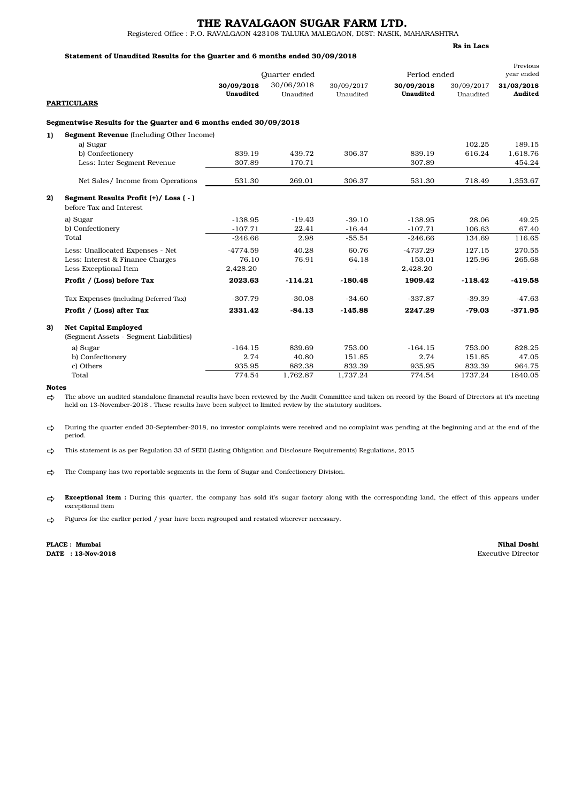### THE RAVALGAON SUGAR FARM LTD.

Registered Office : P.O. RAVALGAON 423108 TALUKA MALEGAON, DIST: NASIK, MAHARASHTRA

### Statement of Unaudited Results for the Quarter and 6 months ended 30/09/2018

Quarter ended Period ended Previous year ended 30/09/2018 30/06/2018 30/09/2017 30/09/2018 30/09/2017 31/03/2018 **PARTICULARS** Unaudited Unaudited Unaudited Unaudited Unaudited Audited Segmentwise Results for the Quarter and 6 months ended 30/09/2018 1) Segment Revenue (Including Other Income) a) Sugar 102.25 189.15 b) Confectionery 839.19 439.72 306.37 839.19 616.24 1,618.76 Less: Inter Segment Revenue 307.89 170.71 307.89 454.24 Net Sales/ Income from Operations 531.30 269.01 306.37 531.30 718.49 1,353.67 2) Segment Results Profit (+)/ Loss ( - ) before Tax and Interest a) Sugar -138.95 -19.43 -39.10 -138.95 28.06 49.25 b) Confectionery -107.71 22.41 -16.44 -107.71 106.63 67.40 Total -246.66 2.98 -55.54 -246.66 134.69 116.65 Less: Unallocated Expenses - Net  $-4774.59$   $-4737.29$   $-4737.29$   $-4737.29$   $-127.15$   $-270.55$ <br>
Less: Interest & Finance Charges  $-76.10$   $-76.91$   $-64.18$   $-153.01$   $-125.96$   $-265.68$ Less: Interest & Finance Charges 76.10 76.91 64.18 153.01 125.96 265.68<br>
Less Exceptional Item 2.428.20 2.428.20 Less Exceptional Item 2,428.20 - - 2,428.20 - - Profit / (Loss) before Tax 2023.63 -114.21 -180.48 1909.42 -118.42 -419.58 Tax Expenses (including Deferred Tax) -307.79 -30.08 -34.60 -337.87 -39.39 -47.63 Profit / (Loss) after Tax 2331.42 -84.13 -145.88 2247.29 -79.03 -371.95 3) Net Capital Employed (Segment Assets - Segment Liabilities) a) Sugar -164.15 839.69 753.00 -164.15 753.00 828.25 b) Confectionery 2.74 40.80 151.85 2.74 151.85 47.05 c) Others 935.95 882.38 832.39 935.95 832.39 964.75 Total 774.54 1,762.87 1,737.24 774.54 1737.24 1840.05

#### Notes

⇨ The above un audited standalone financial results have been reviewed by the Audit Committee and taken on record by the Board of Directors at it's meeting held on 13-November-2018 . These results have been subject to limited review by the statutory auditors.

⇨ During the quarter ended 30-September-2018, no investor complaints were received and no complaint was pending at the beginning and at the end of the period.

宀 This statement is as per Regulation 33 of SEBI (Listing Obligation and Disclosure Requirements) Regulations, 2015

 $\rightarrow$ The Company has two reportable segments in the form of Sugar and Confectionery Division.

گ **Exceptional item** : During this quarter, the company has sold it's sugar factory along with the corresponding land, the effect of this appears under exceptional item

⇨ Figures for the earlier period / year have been regrouped and restated wherever necessary.

PLACE : Mumbai

Nihal Doshi DATE : 13-Nov-2018 Executive Director

Rs in Lacs